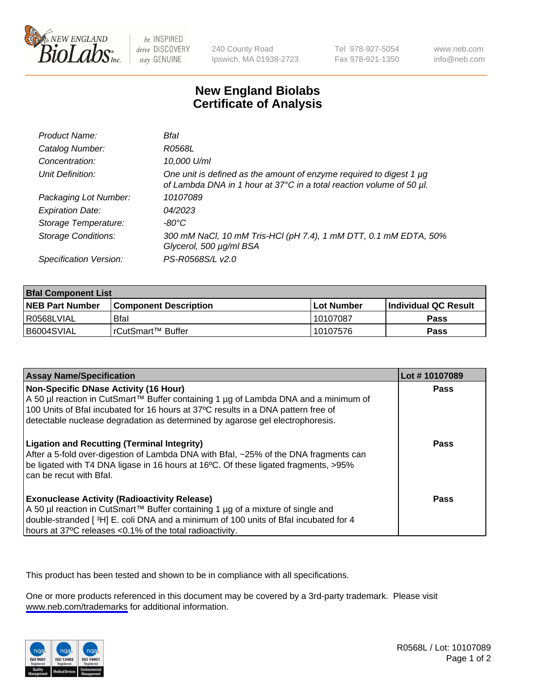

be INSPIRED drive DISCOVERY stay GENUINE

240 County Road Ipswich, MA 01938-2723 Tel 978-927-5054 Fax 978-921-1350

www.neb.com info@neb.com

## **New England Biolabs Certificate of Analysis**

| Product Name:              | Bfal                                                                                                                                             |
|----------------------------|--------------------------------------------------------------------------------------------------------------------------------------------------|
| Catalog Number:            | <i>R0568L</i>                                                                                                                                    |
| Concentration:             | 10,000 U/ml                                                                                                                                      |
| Unit Definition:           | One unit is defined as the amount of enzyme required to digest 1 $\mu$ g<br>of Lambda DNA in 1 hour at 37°C in a total reaction volume of 50 µl. |
| Packaging Lot Number:      | 10107089                                                                                                                                         |
| <b>Expiration Date:</b>    | 04/2023                                                                                                                                          |
| Storage Temperature:       | $-80^{\circ}$ C                                                                                                                                  |
| <b>Storage Conditions:</b> | 300 mM NaCl, 10 mM Tris-HCl (pH 7.4), 1 mM DTT, 0.1 mM EDTA, 50%<br>Glycerol, 500 µg/ml BSA                                                      |
| Specification Version:     | PS-R0568S/L v2.0                                                                                                                                 |

| <b>Bfal Component List</b> |                              |              |                             |  |
|----------------------------|------------------------------|--------------|-----------------------------|--|
| <b>NEB Part Number</b>     | <b>Component Description</b> | l Lot Number | <b>Individual QC Result</b> |  |
| R0568LVIAL                 | Bfal                         | 10107087     | Pass                        |  |
| B6004SVIAL                 | l rCutSmart™ Buffer          | 10107576     | Pass                        |  |

| <b>Assay Name/Specification</b>                                                                                                                                                                                                                                                                    | Lot #10107089 |
|----------------------------------------------------------------------------------------------------------------------------------------------------------------------------------------------------------------------------------------------------------------------------------------------------|---------------|
| Non-Specific DNase Activity (16 Hour)<br>A 50 µl reaction in CutSmart™ Buffer containing 1 µg of Lambda DNA and a minimum of<br>100 Units of Bfal incubated for 16 hours at 37°C results in a DNA pattern free of<br>detectable nuclease degradation as determined by agarose gel electrophoresis. | Pass          |
| <b>Ligation and Recutting (Terminal Integrity)</b><br>After a 5-fold over-digestion of Lambda DNA with Bfal, ~25% of the DNA fragments can<br>be ligated with T4 DNA ligase in 16 hours at 16°C. Of these ligated fragments, >95%<br>can be recut with Bfal.                                       | Pass          |
| <b>Exonuclease Activity (Radioactivity Release)</b><br>A 50 µl reaction in CutSmart™ Buffer containing 1 µg of a mixture of single and<br>double-stranded [3H] E. coli DNA and a minimum of 100 units of Bfal incubated for 4<br>hours at 37°C releases <0.1% of the total radioactivity.          | Pass          |

This product has been tested and shown to be in compliance with all specifications.

One or more products referenced in this document may be covered by a 3rd-party trademark. Please visit <www.neb.com/trademarks>for additional information.